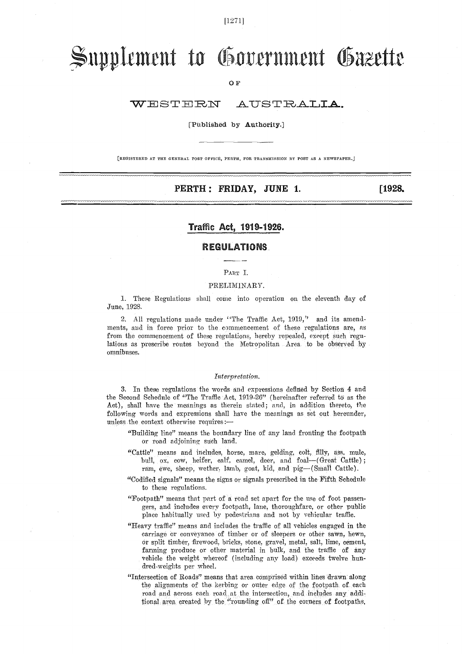[1271]

# Supplement to Government Gazette

OF

#### WESTERN AUSTRALIA.

#### [Published by Authority.]

[REGISTERED AT THE GENERAL POST OFFICE, PERTH, FOR TRANSMISSION BY POST AS A NEWSPAPER. j

### PERTH : FRIDAY, JUNE 1. [1928.]

### Traffic Act, 1919-1926.

#### REGULATIONS.

## PART I.

#### PRELIMINARY.

1. These Regulations shall come into operation on the eleventh day of June, 192S.

2. All regulations made under "The Traffic Act, 1919," and its amendments, and in force prior to the commencement of these regulations are, as from the commencement of these regulations, hereby repealed, except such regulations as prescribe routes beyond the Metropolitan Area to be observed by omnibuses.

#### Interpretation.

3. In these regulations the words and expressions defined by Section 4 and the Second Schedule of "The Traffic Act, 1919-26" (hereinafter referred to' as the Act), shall have the meanings as therein stated; and, in addition thereto, the following words and expressions shall have the meanings as set out hereunder, unless the context otherwise requires:

- "Building line" means the boundary line of any land fronting the footpath or road adjoining such land.
- "Cattle" means and includes, horse, mare, gelding, colt, filly, ass, mule, bull, ox, cow, heifer, calf, camel, deer, and foal-(Great Cattle); ram, ewe, sheep, wether, lamb, goat, kid, and pig-(Small Cattle).
- "Codified signals" means the signs or signals prescribed in the Fifth Schedule to these regulations.
- "Footpath" means that part of a road set apart for the use of foot passengers, and includes every footpath, lane, thoroughfare, or other public place habitually used by pedestrians and not by vehicular traffic.
- "Heavy traffic" means and includes the traffic of all vehicles engaged in the carriage or conveyance of timber or of sleepers or other sawn, hewn, Or split timber, firewood, bricks, stone, gravel, metal, salt, lime, cement, farming produce or other material in bulk, and the traffic of any vehicle the weight whereof (including any load) exceeds twelve hundred-weights per wheel.
- "Intersection of Roads" means that area comprised within lines drawn along the alignments of the kerbing or outer edge of the footpath of each road and across each road, at the intersection, and includes any additional Area created by the "rounding off" of the corners of footpaths,